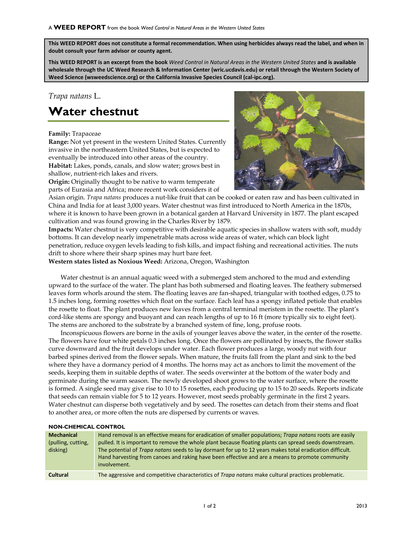**This WEED REPORT does not constitute a formal recommendation. When using herbicides always read the label, and when in doubt consult your farm advisor or county agent.**

**This WEED REPORT is an excerpt from the book** *Weed Control in Natural Areas in the Western United States* **and is available wholesale through the UC Weed Research & Information Center (wric.ucdavis.edu) or retail through the Western Society of Weed Science (wsweedscience.org) or the California Invasive Species Council (cal-ipc.org).**

## *Trapa natans* L.

# **Water chestnut**

#### **Family:** Trapaceae

**Range:** Not yet present in the western United States. Currently invasive in the northeastern United States, but is expected to eventually be introduced into other areas of the country. **Habitat:** Lakes, ponds, canals, and slow water; grows best in shallow, nutrient-rich lakes and rivers.

**Origin:** Originally thought to be native to warm temperate parts of [Eurasia](http://en.wikipedia.org/wiki/Eurasia) and [Africa;](http://en.wikipedia.org/wiki/Africa) more recent work considers it of



Asian origin. *Trapa natans* produces a nut-like fruit that can be cooked or eaten raw and has been cultivated in [China](http://en.wikipedia.org/wiki/China) and [India](http://en.wikipedia.org/wiki/India) for at least 3,000 years. Water chestnut was first introduced to North America in the 1870s, where it is known to have been grown in a botanical garden at Harvard University in 1877. The plant escaped cultivation and was found growing in the Charles River by 1879.

**Impacts:** Water chestnut is very competitive with desirable aquatic species in shallow waters with soft, muddy bottoms. It can develop nearly impenetrable mats across wide areas of water, which can block light penetration, reduce oxygen levels leading to fish kills, and impact fishing and recreational activities. The nuts drift to shore where their sharp spines may hurt bare feet.

**Western states listed as Noxious Weed:** Arizona, Oregon, Washington

Water chestnut is an annual aquatic weed with a submerged stem anchored to the mud and extending upward to the surface of the water. The plant has both submersed and floating leaves. The feathery submersed leaves form whorls around the stem. The floating leaves are fan-shaped, triangular with toothed edges, 0.75 to 1.5 inches long, forming rosettes which float on the surface. Each leaf has a spongy inflated petiole that enables the rosette to float. The plant produces new leaves from a central terminal meristem in the rosette. The plant's cord-like stems are spongy and buoyant and can reach lengths of up to 16 ft (more typically six to eight feet). The stems are anchored to the substrate by a branched system of fine, long, profuse roots.

Inconspicuous flowers are borne in the axils of younger leaves above the water, in the center of the rosette. The flowers have four white petals 0.3 inches long. Once the flowers are pollinated by insects, the flower stalks curve downward and the fruit develops under water. Each flower produces a large, woody nut with four barbed spines derived from the flower sepals. When mature, the fruits fall from the plant and sink to the bed where they have a dormancy period of 4 months. The horns may act as anchors to limit the movement of the seeds, keeping them in suitable depths of water. The seeds overwinter at the bottom of the water body and germinate during the warm season. The newly developed shoot grows to the water surface, where the rosette is formed. A single seed may give rise to 10 to 15 rosettes, each producing up to 15 to 20 seeds. Reports indicate that seeds can remain viable for 5 to 12 years. However, most seeds probably germinate in the first 2 years. Water chestnut can disperse both vegetatively and by seed. The rosettes can detach from their stems and float to another area, or more often the nuts are dispersed by currents or waves.

#### **NON-CHEMICAL CONTROL**

| <b>Mechanical</b><br>(pulling, cutting,<br>disking) | Hand removal is an effective means for eradication of smaller populations; Trapa natans roots are easily<br>pulled. It is important to remove the whole plant because floating plants can spread seeds downstream.<br>The potential of <i>Trapa natans</i> seeds to lay dormant for up to 12 years makes total eradication difficult.<br>Hand harvesting from canoes and raking have been effective and are a means to promote community<br>involvement. |
|-----------------------------------------------------|----------------------------------------------------------------------------------------------------------------------------------------------------------------------------------------------------------------------------------------------------------------------------------------------------------------------------------------------------------------------------------------------------------------------------------------------------------|
| <b>Cultural</b>                                     | The aggressive and competitive characteristics of Trapa natans make cultural practices problematic.                                                                                                                                                                                                                                                                                                                                                      |